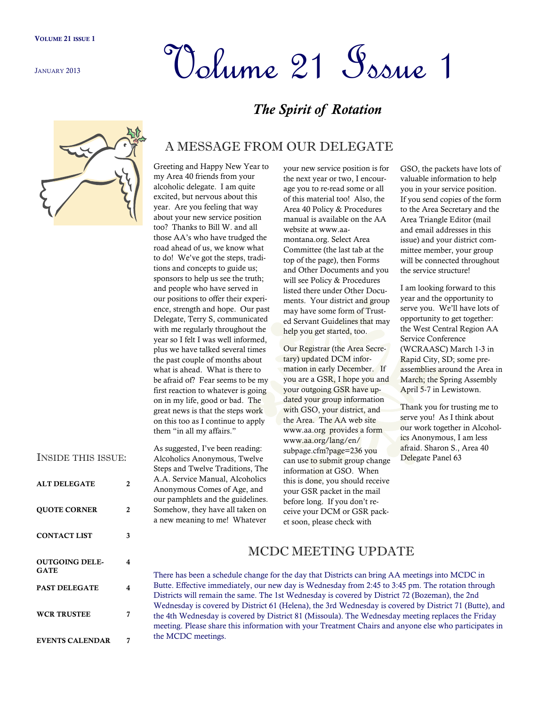JANUARY 2013

# Volume 21 Issue 1

# *The Spirit of Rotation*



## A MESSAGE FROM OUR DELEGATE

Greeting and Happy New Year to my Area 40 friends from your alcoholic delegate. I am quite excited, but nervous about this year. Are you feeling that way about your new service position too? Thanks to Bill W. and all those AA's who have trudged the road ahead of us, we know what to do! We've got the steps, traditions and concepts to guide us; sponsors to help us see the truth; and people who have served in our positions to offer their experience, strength and hope. Our past Delegate, Terry S, communicated with me regularly throughout the year so I felt I was well informed, plus we have talked several times the past couple of months about what is ahead. What is there to be afraid of? Fear seems to be my first reaction to whatever is going on in my life, good or bad. The great news is that the steps work on this too as I continue to apply them "in all my affairs."

As suggested, I've been reading: Alcoholics Anonymous, Twelve Steps and Twelve Traditions, The A.A. Service Manual, Alcoholics Anonymous Comes of Age, and our pamphlets and the guidelines. Somehow, they have all taken on a new meaning to me! Whatever

the next year or two, I encourage you to re-read some or all of this material too! Also, the Area 40 Policy & Procedures manual is available on the AA website at www.aamontana.org. Select Area Committee (the last tab at the top of the page), then Forms and Other Documents and you will see Policy & Procedures listed there under Other Documents. Your district and group may have some form of Trusted Servant Guidelines that may help you get started, too.

your new service position is for

Our Registrar (the Area Secretary) updated DCM information in early December. If you are a GSR, I hope you and your outgoing GSR have updated your group information with GSO, your district, and the Area. The AA web site www.aa.org provides a form www.aa.org/lang/en/ subpage.cfm?page=236 you can use to submit group change information at GSO. When this is done, you should receive your GSR packet in the mail before long. If you don't receive your DCM or GSR packet soon, please check with

GSO, the packets have lots of valuable information to help you in your service position. If you send copies of the form to the Area Secretary and the Area Triangle Editor (mail and email addresses in this issue) and your district committee member, your group will be connected throughout the service structure!

I am looking forward to this year and the opportunity to serve you. We'll have lots of opportunity to get together: the West Central Region AA Service Conference (WCRAASC) March 1-3 in Rapid City, SD; some preassemblies around the Area in March; the Spring Assembly April 5-7 in Lewistown.

Thank you for trusting me to serve you! As I think about our work together in Alcoholics Anonymous, I am less afraid. Sharon S., Area 40 Delegate Panel 63

| <b>INSIDE THIS ISSUE:</b>     |   |
|-------------------------------|---|
| <b>ALT DELEGATE</b>           | 2 |
| <b>OUOTE CORNER</b>           | 2 |
| <b>CONTACT LIST</b>           | 3 |
| <b>OUTGOING DELE-</b><br>GATE | 4 |
| <b>PAST DELEGATE</b>          | 4 |
| <b>WCR TRUSTEE</b>            | 7 |

**EVENTS CALENDAR 7**

#### MCDC MEETING UPDATE

There has been a schedule change for the day that Districts can bring AA meetings into MCDC in Butte. Effective immediately, our new day is Wednesday from 2:45 to 3:45 pm. The rotation through Districts will remain the same. The 1st Wednesday is covered by District 72 (Bozeman), the 2nd Wednesday is covered by District 61 (Helena), the 3rd Wednesday is covered by District 71 (Butte), and the 4th Wednesday is covered by District 81 (Missoula). The Wednesday meeting replaces the Friday meeting. Please share this information with your Treatment Chairs and anyone else who participates in the MCDC meetings.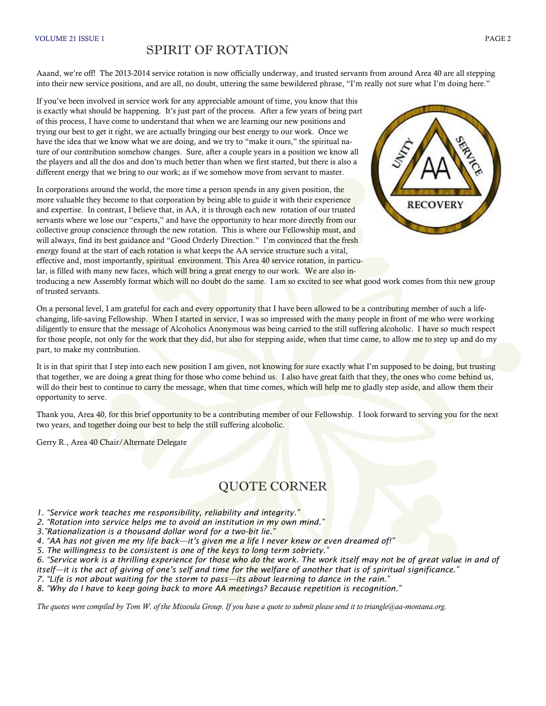#### SPIRIT OF ROTATION

Aaand, we're off! The 2013-2014 service rotation is now officially underway, and trusted servants from around Area 40 are all stepping into their new service positions, and are all, no doubt, uttering the same bewildered phrase, "I'm really not sure what I'm doing here."

If you've been involved in service work for any appreciable amount of time, you know that this is exactly what should be happening. It's just part of the process. After a few years of being part of this process, I have come to understand that when we are learning our new positions and trying our best to get it right, we are actually bringing our best energy to our work. Once we have the idea that we know what we are doing, and we try to "make it ours," the spiritual nature of our contribution somehow changes. Sure, after a couple years in a position we know all the players and all the dos and don'ts much better than when we first started, but there is also a different energy that we bring to our work; as if we somehow move from servant to master.

In corporations around the world, the more time a person spends in any given position, the more valuable they become to that corporation by being able to guide it with their experience and expertise. In contrast, I believe that, in AA, it is through each new rotation of our trusted servants where we lose our "experts," and have the opportunity to hear more directly from our collective group conscience through the new rotation. This is where our Fellowship must, and will always, find its best guidance and "Good Orderly Direction." I'm convinced that the fresh energy found at the start of each rotation is what keeps the AA service structure such a vital, effective and, most importantly, spiritual environment. This Area 40 service rotation, in particular, is filled with many new faces, which will bring a great energy to our work. We are also in-



troducing a new Assembly format which will no doubt do the same. I am so excited to see what good work comes from this new group of trusted servants.

On a personal level, I am grateful for each and every opportunity that I have been allowed to be a contributing member of such a lifechanging, life-saving Fellowship. When I started in service, I was so impressed with the many people in front of me who were working diligently to ensure that the message of Alcoholics Anonymous was being carried to the still suffering alcoholic. I have so much respect for those people, not only for the work that they did, but also for stepping aside, when that time came, to allow me to step up and do my part, to make my contribution.

It is in that spirit that I step into each new position I am given, not knowing for sure exactly what I'm supposed to be doing, but trusting that together, we are doing a great thing for those who come behind us. I also have great faith that they, the ones who come behind us, will do their best to continue to carry the message, when that time comes, which will help me to gladly step aside, and allow them their opportunity to serve.

Thank you, Area 40, for this brief opportunity to be a contributing member of our Fellowship. I look forward to serving you for the next two years, and together doing our best to help the still suffering alcoholic.

Gerry R., Area 40 Chair/Alternate Delegate

### QUOTE CORNER

*1. "Service work teaches me responsibility, reliability and integrity."*

*2. "Rotation into service helps me to avoid an institution in my own mind."*

*3."Rationalization is a thousand dollar word for a two-bit lie."*

*4. "AA has not given me my life back—it's given me a life I never knew or even dreamed of!"*

*5. The willingness to be consistent is one of the keys to long term sobriety."*

*6. "Service work is a thrilling experience for those who do the work. The work itself may not be of great value in and of itself—it is the act of giving of one's self and time for the welfare of another that is of spiritual significance."*

*7. "Life is not about waiting for the storm to pass—its about learning to dance in the rain."*

*8. "Why do I have to keep going back to more AA meetings? Because repetition is recognition."*

*The quotes were compiled by Tom W. of the Missoula Group. If you have a quote to submit please send it to triangle@aa-montana.org.*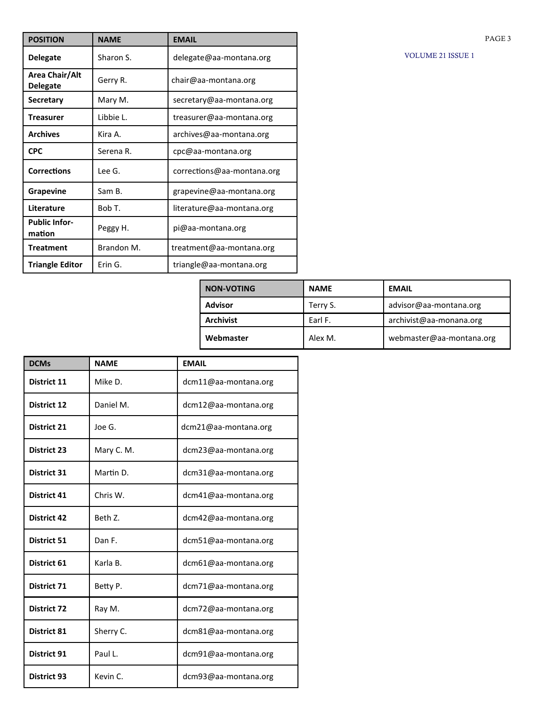| <b>POSITION</b>                   | <b>NAME</b> | <b>EMAIL</b>               |
|-----------------------------------|-------------|----------------------------|
| <b>Delegate</b>                   | Sharon S.   | delegate@aa-montana.org    |
| Area Chair/Alt<br><b>Delegate</b> | Gerry R.    | chair@aa-montana.org       |
| <b>Secretary</b>                  | Mary M.     | secretary@aa-montana.org   |
| <b>Treasurer</b>                  | Libbie L.   | treasurer@aa-montana.org   |
| <b>Archives</b>                   | Kira A.     | archives@aa-montana.org    |
| <b>CPC</b>                        | Serena R.   | cpc@aa-montana.org         |
| <b>Corrections</b>                | Lee G.      | corrections@aa-montana.org |
| <b>Grapevine</b>                  | Sam B.      | grapevine@aa-montana.org   |
| Literature                        | Bob T.      | literature@aa-montana.org  |
| <b>Public Infor-</b><br>mation    | Peggy H.    | pi@aa-montana.org          |
| <b>Treatment</b>                  | Brandon M.  | treatment@aa-montana.org   |
| <b>Triangle Editor</b>            | Erin G.     | triangle@aa-montana.org    |

|  | <b>VOLUME 21 ISSUE 1</b> |  |  |  |
|--|--------------------------|--|--|--|
|--|--------------------------|--|--|--|

PAGE 3

| <b>NON-VOTING</b> | <b>NAME</b> | <b>EMAIL</b>             |
|-------------------|-------------|--------------------------|
| <b>Advisor</b>    | Terry S.    | advisor@aa-montana.org   |
| <b>Archivist</b>  | Earl F.     | archivist@aa-monana.org  |
| Webmaster         | Alex M.     | webmaster@aa-montana.org |

| <b>DCMs</b>        | <b>NAME</b> | <b>EMAIL</b>         |
|--------------------|-------------|----------------------|
| District 11        | Mike D.     | dcm11@aa-montana.org |
| <b>District 12</b> | Daniel M.   | dcm12@aa-montana.org |
| <b>District 21</b> | Joe G.      | dcm21@aa-montana.org |
| <b>District 23</b> | Mary C. M.  | dcm23@aa-montana.org |
| <b>District 31</b> | Martin D.   | dcm31@aa-montana.org |
| <b>District 41</b> | Chris W.    | dcm41@aa-montana.org |
| <b>District 42</b> | Beth Z.     | dcm42@aa-montana.org |
| <b>District 51</b> | Dan F.      | dcm51@aa-montana.org |
| District 61        | Karla B.    | dcm61@aa-montana.org |
| <b>District 71</b> | Betty P.    | dcm71@aa-montana.org |
| <b>District 72</b> | Ray M.      | dcm72@aa-montana.org |
| <b>District 81</b> | Sherry C.   | dcm81@aa-montana.org |
| <b>District 91</b> | Paul L.     | dcm91@aa-montana.org |
| <b>District 93</b> | Kevin C.    | dcm93@aa-montana.org |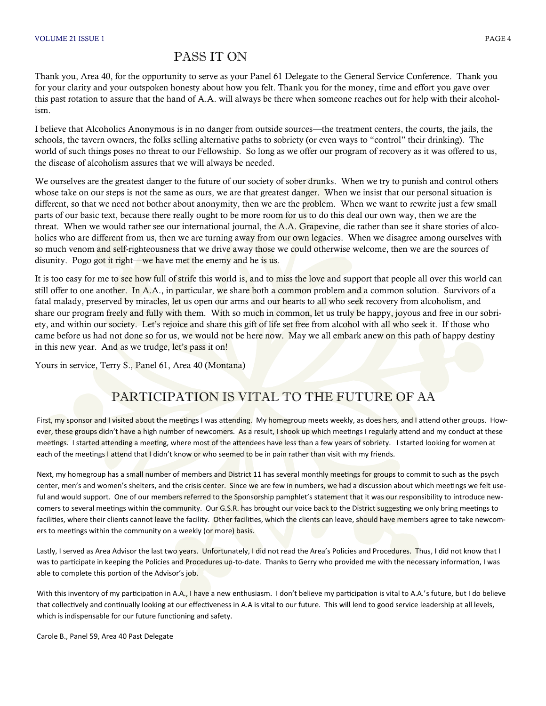#### PASS IT ON

Thank you, Area 40, for the opportunity to serve as your Panel 61 Delegate to the General Service Conference. Thank you for your clarity and your outspoken honesty about how you felt. Thank you for the money, time and effort you gave over this past rotation to assure that the hand of A.A. will always be there when someone reaches out for help with their alcoholism.

I believe that Alcoholics Anonymous is in no danger from outside sources—the treatment centers, the courts, the jails, the schools, the tavern owners, the folks selling alternative paths to sobriety (or even ways to "control" their drinking). The world of such things poses no threat to our Fellowship. So long as we offer our program of recovery as it was offered to us, the disease of alcoholism assures that we will always be needed.

We ourselves are the greatest danger to the future of our society of sober drunks. When we try to punish and control others whose take on our steps is not the same as ours, we are that greatest danger. When we insist that our personal situation is different, so that we need not bother about anonymity, then we are the problem. When we want to rewrite just a few small parts of our basic text, because there really ought to be more room for us to do this deal our own way, then we are the threat. When we would rather see our international journal, the A.A. Grapevine, die rather than see it share stories of alcoholics who are different from us, then we are turning away from our own legacies. When we disagree among ourselves with so much venom and self-righteousness that we drive away those we could otherwise welcome, then we are the sources of disunity. Pogo got it right—we have met the enemy and he is us.

It is too easy for me to see how full of strife this world is, and to miss the love and support that people all over this world can still offer to one another. In A.A., in particular, we share both a common problem and a common solution. Survivors of a fatal malady, preserved by miracles, let us open our arms and our hearts to all who seek recovery from alcoholism, and share our program freely and fully with them. With so much in common, let us truly be happy, joyous and free in our sobriety, and within our society. Let's rejoice and share this gift of life set free from alcohol with all who seek it. If those who came before us had not done so for us, we would not be here now. May we all embark anew on this path of happy destiny in this new year. And as we trudge, let's pass it on!

Yours in service, Terry S., Panel 61, Area 40 (Montana)

### PARTICIPATION IS VITAL TO THE FUTURE OF AA

First, my sponsor and I visited about the meetings I was attending. My homegroup meets weekly, as does hers, and I attend other groups. However, these groups didn't have a high number of newcomers. As a result, I shook up which meetings I regularly attend and my conduct at these meetings. I started attending a meeting, where most of the attendees have less than a few years of sobriety. I started looking for women at each of the meetings I attend that I didn't know or who seemed to be in pain rather than visit with my friends.

Next, my homegroup has a small number of members and District 11 has several monthly meetings for groups to commit to such as the psych center, men's and women's shelters, and the crisis center. Since we are few in numbers, we had a discussion about which meetings we felt useful and would support. One of our members referred to the Sponsorship pamphlet's statement that it was our responsibility to introduce newcomers to several meetings within the community. Our G.S.R. has brought our voice back to the District suggesting we only bring meetings to facilities, where their clients cannot leave the facility. Other facilities, which the clients can leave, should have members agree to take newcomers to meetings within the community on a weekly (or more) basis.

Lastly, I served as Area Advisor the last two years. Unfortunately, I did not read the Area's Policies and Procedures. Thus, I did not know that I was to participate in keeping the Policies and Procedures up-to-date. Thanks to Gerry who provided me with the necessary information, I was able to complete this portion of the Advisor's job.

With this inventory of my participation in A.A., I have a new enthusiasm. I don't believe my participation is vital to A.A.'s future, but I do believe that collectively and continually looking at our effectiveness in A.A is vital to our future. This will lend to good service leadership at all levels, which is indispensable for our future functioning and safety.

Carole B., Panel 59, Area 40 Past Delegate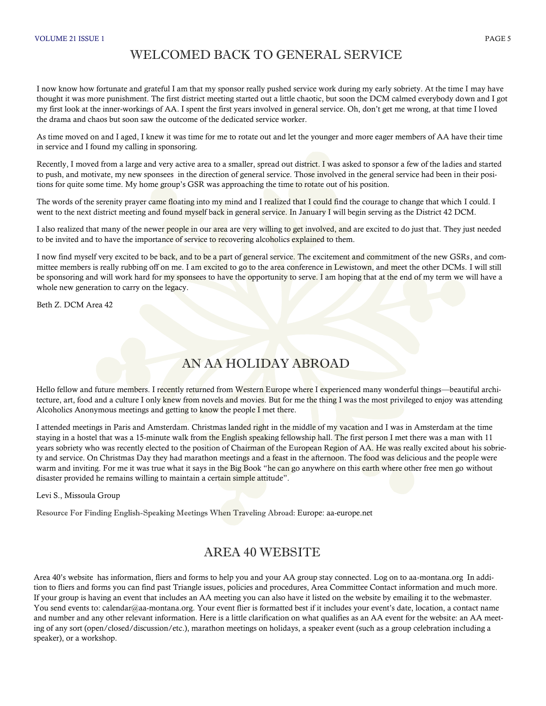#### WELCOMED BACK TO GENERAL SERVICE

I now know how fortunate and grateful I am that my sponsor really pushed service work during my early sobriety. At the time I may have thought it was more punishment. The first district meeting started out a little chaotic, but soon the DCM calmed everybody down and I got my first look at the inner-workings of AA. I spent the first years involved in general service. Oh, don't get me wrong, at that time I loved the drama and chaos but soon saw the outcome of the dedicated service worker.

As time moved on and I aged, I knew it was time for me to rotate out and let the younger and more eager members of AA have their time in service and I found my calling in sponsoring.

Recently, I moved from a large and very active area to a smaller, spread out district. I was asked to sponsor a few of the ladies and started to push, and motivate, my new sponsees in the direction of general service. Those involved in the general service had been in their positions for quite some time. My home group's GSR was approaching the time to rotate out of his position.

The words of the serenity prayer came floating into my mind and I realized that I could find the courage to change that which I could. I went to the next district meeting and found myself back in general service. In January I will begin serving as the District 42 DCM.

I also realized that many of the newer people in our area are very willing to get involved, and are excited to do just that. They just needed to be invited and to have the importance of service to recovering alcoholics explained to them.

I now find myself very excited to be back, and to be a part of general service. The excitement and commitment of the new GSRs, and committee members is really rubbing off on me. I am excited to go to the area conference in Lewistown, and meet the other DCMs. I will still be sponsoring and will work hard for my sponsees to have the opportunity to serve. I am hoping that at the end of my term we will have a whole new generation to carry on the legacy.

Beth Z. DCM Area 42

# AN AA HOLIDAY ABROAD

Hello fellow and future members. I recently returned from Western Europe where I experienced many wonderful things—beautiful architecture, art, food and a culture I only knew from novels and movies. But for me the thing I was the most privileged to enjoy was attending Alcoholics Anonymous meetings and getting to know the people  $I$  met there.

I attended meetings in Paris and Amsterdam. Christmas landed right in the middle of my vacation and I was in Amsterdam at the time staying in a hostel that was a 15-minute walk from the English speaking fellowship hall. The first person I met there was a man with 11 years sobriety who was recently elected to the position of Chairman of the European Region of AA. He was really excited about his sobriety and service. On Christmas Day they had marathon meetings and a feast in the afternoon. The food was delicious and the people were warm and inviting. For me it was true what it says in the Big Book "he can go anywhere on this earth where other free men go without disaster provided he remains willing to maintain a certain simple attitude".

Levi S., Missoula Group

Resource For Finding English-Speaking Meetings When Traveling Abroad: Europe: aa-europe.net

#### AREA 40 WEBSITE

Area 40's website has information, fliers and forms to help you and your AA group stay connected. Log on to aa-montana.org In addition to fliers and forms you can find past Triangle issues, policies and procedures, Area Committee Contact information and much more. If your group is having an event that includes an AA meeting you can also have it listed on the website by emailing it to the webmaster. You send events to: calendar@aa-montana.org. Your event flier is formatted best if it includes your event's date, location, a contact name and number and any other relevant information. Here is a little clarification on what qualifies as an AA event for the website: an AA meeting of any sort (open/closed/discussion/etc.), marathon meetings on holidays, a speaker event (such as a group celebration including a speaker), or a workshop.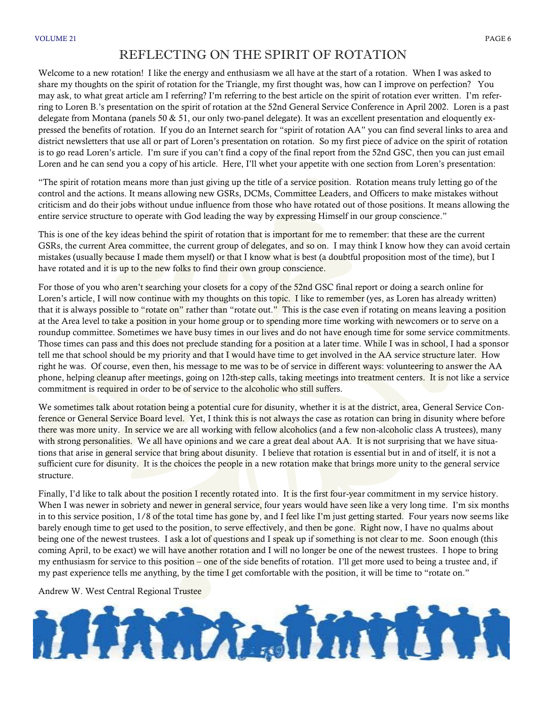#### REFLECTING ON THE SPIRIT OF ROTATION

Welcome to a new rotation! I like the energy and enthusiasm we all have at the start of a rotation. When I was asked to share my thoughts on the spirit of rotation for the Triangle, my first thought was, how can I improve on perfection? You may ask, to what great article am I referring? I'm referring to the best article on the spirit of rotation ever written. I'm referring to Loren B.'s presentation on the spirit of rotation at the 52nd General Service Conference in April 2002. Loren is a past delegate from Montana (panels 50  $&$  51, our only two-panel delegate). It was an excellent presentation and eloquently expressed the benefits of rotation. If you do an Internet search for "spirit of rotation AA" you can find several links to area and district newsletters that use all or part of Loren's presentation on rotation. So my first piece of advice on the spirit of rotation is to go read Loren's article. I'm sure if you can't find a copy of the final report from the 52nd GSC, then you can just email Loren and he can send you a copy of his article. Here, I'll whet your appetite with one section from Loren's presentation:

"The spirit of rotation means more than just giving up the title of a service position. Rotation means truly letting go of the control and the actions. It means allowing new GSRs, DCMs, Committee Leaders, and Officers to make mistakes without criticism and do their jobs without undue influence from those who have rotated out of those positions. It means allowing the entire service structure to operate with God leading the way by expressing Himself in our group conscience."

This is one of the key ideas behind the spirit of rotation that is important for me to remember: that these are the current GSRs, the current Area committee, the current group of delegates, and so on. I may think I know how they can avoid certain mistakes (usually because I made them myself) or that I know what is best (a doubtful proposition most of the time), but I have rotated and it is up to the new folks to find their own group conscience.

For those of you who aren't searching your closets for a copy of the 52nd GSC final report or doing a search online for Loren's article, I will now continue with my thoughts on this topic. I like to remember (yes, as Loren has already written) that it is always possible to "rotate on" rather than "rotate out." This is the case even if rotating on means leaving a position at the Area level to take a position in your home group or to spending more time working with newcomers or to serve on a roundup committee. Sometimes we have busy times in our lives and do not have enough time for some service commitments. Those times can pass and this does not preclude standing for a position at a later time. While I was in school, I had a sponsor tell me that school should be my priority and that I would have time to get involved in the AA service structure later. How right he was. Of course, even then, his message to me was to be of service in different ways: volunteering to answer the AA phone, helping cleanup after meetings, going on 12th-step calls, taking meetings into treatment centers. It is not like a service commitment is required in order to be of service to the alcoholic who still suffers.

We sometimes talk about rotation being a potential cure for disunity, whether it is at the district, area, General Service Conference or General Service Board level. Yet, I think this is not always the case as rotation can bring in disunity where before there was more unity. In service we are all working with fellow alcoholics (and a few non-alcoholic class A trustees), many with strong personalities. We all have opinions and we care a great deal about AA. It is not surprising that we have situations that arise in general service that bring about disunity. I believe that rotation is essential but in and of itself, it is not a sufficient cure for disunity. It is the choices the people in a new rotation make that brings more unity to the general service structure.

Finally, I'd like to talk about the position I recently rotated into. It is the first four-year commitment in my service history. When I was newer in sobriety and newer in general service, four years would have seen like a very long time. I'm six months in to this service position, 1/8 of the total time has gone by, and I feel like I'm just getting started. Four years now seems like barely enough time to get used to the position, to serve effectively, and then be gone. Right now, I have no qualms about being one of the newest trustees. I ask a lot of questions and I speak up if something is not clear to me. Soon enough (this coming April, to be exact) we will have another rotation and I will no longer be one of the newest trustees. I hope to bring my enthusiasm for service to this position – one of the side benefits of rotation. I'll get more used to being a trustee and, if my past experience tells me anything, by the time I get comfortable with the position, it will be time to "rotate on."

Andrew W. West Central Regional Trustee

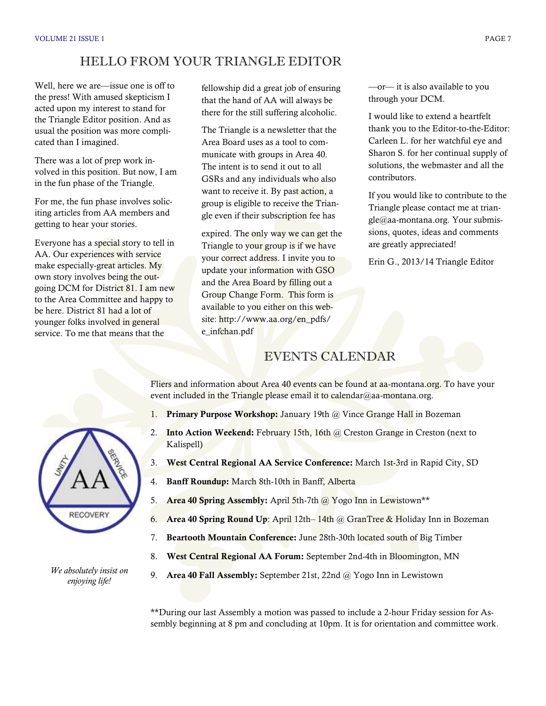#### HELLO FROM YOUR TRIANGLE EDITOR

Well, here we are—issue one is off to the press! With amused skepticism I acted upon my interest to stand for the Triangle Editor position. And as usual the position was more complicated than I imagined.

There was a lot of prep work involved in this position. But now, I am in the fun phase of the Triangle.

For me, the fun phase involves soliciting articles from AA members and getting to hear your stories.

Everyone has a special story to tell in AA. Our experiences with service make especially-great articles. My own story involves being the outgoing DCM for District 81. I am new to the Area Committee and happy to be here. District 81 had a lot of younger folks involved in general service. To me that means that the

fellowship did a great job of ensuring that the hand of AA will always be there for the still suffering alcoholic.

The Triangle is a newsletter that the Area Board uses as a tool to communicate with groups in Area 40. The intent is to send it out to all GSRs and any individuals who also want to receive it. By past action, a group is eligible to receive the Triangle even if their subscription fee has

expired. The only way we can get the Triangle to your group is if we have your correct address. I invite you to update your information with GSO and the Area Board by filling out a Group Change Form. This form is available to you either on this website: http://www.aa.org/en\_pdfs/ e infchan.pdf

—or— it is also available to you through your DCM.

I would like to extend a heartfelt thank you to the Editor-to-the-Editor: Carleen L. for her watchful eye and Sharon S. for her continual supply of solutions, the webmaster and all the contributors.

If you would like to contribute to the Triangle please contact me at triangle@aa-montana.org. Your submissions, quotes, ideas and comments are greatly appreciated!

Erin G., 2013/14 Triangle Editor



*We absolutely insist on enjoying life!*

#### EVENTS CALENDAR

Fliers and information about Area 40 events can be found at aa-montana.org. To have your event included in the Triangle please email it to calendar@aa-montana.org.

- 1. **Primary Purpose Workshop:** January 19th @ Vince Grange Hall in Bozeman
- 2. **Into Action Weekend:** February 15th, 16th @ Creston Grange in Creston (next to Kalispell)
- 3. **West Central Regional AA Service Conference:** March 1st-3rd in Rapid City, SD
- 4. **Banff Roundup:** March 8th-10th in Banff, Alberta
- 5. **Area 40 Spring Assembly:** April 5th-7th @ Yogo Inn in Lewistown\*\*
- 6. **Area 40 Spring Round Up**: April 12th– 14th @ GranTree & Holiday Inn in Bozeman
- 7. **Beartooth Mountain Conference:** June 28th-30th located south of Big Timber
- 8. **West Central Regional AA Forum:** September 2nd-4th in Bloomington, MN
- 9. **Area 40 Fall Assembly:** September 21st, 22nd @ Yogo Inn in Lewistown

\*\*During our last Assembly a motion was passed to include a 2-hour Friday session for Assembly beginning at 8 pm and concluding at 10pm. It is for orientation and committee work.